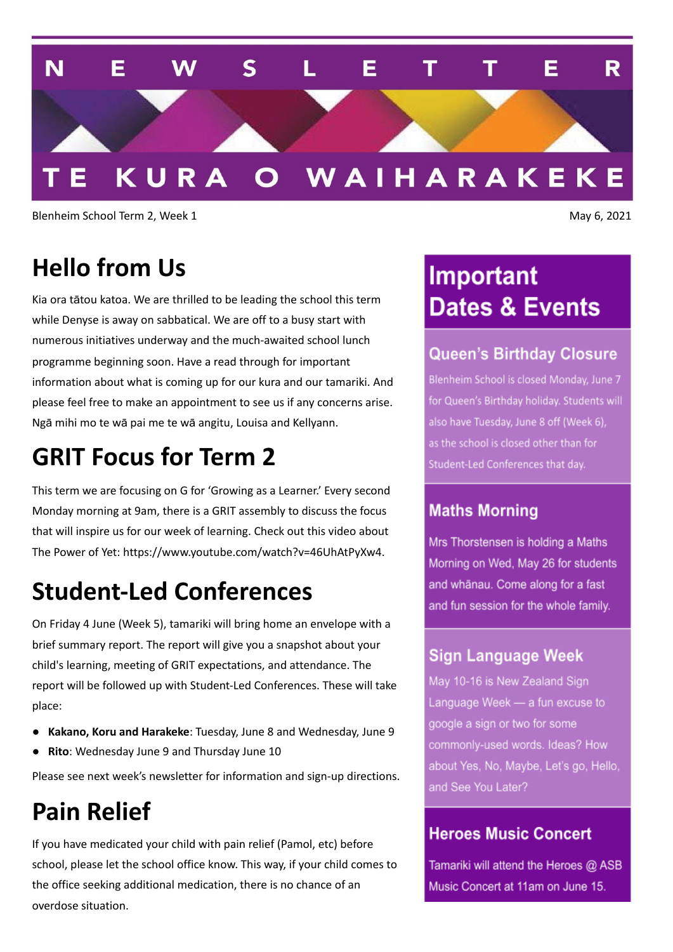

Blenheim School Term 2, Week 1 May 6, 2021

### **Hello from Us**

Kia ora tātou katoa. We are thrilled to be leading the school this term while Denyse is away on sabbatical. We are off to a busy start with numerous initiatives underway and the much-awaited school lunch programme beginning soon. Have a read through for important information about what is coming up for our kura and our tamariki. And please feel free to make an appointment to see us if any concerns arise. Ngā mihi mo te wā pai me te wā angitu, Louisa and Kellyann.

### **GRIT Focus for Term 2**

This term we are focusing on G for 'Growing as a Learner.' Every second Monday morning at 9am, there is a GRIT assembly to discuss the focus that will inspire us for our week of learning. Check out this video about The Power of Yet: https://www.youtube.com/watch?v=46UhAtPyXw4.

# **Student-Led Conferences**

On Friday 4 June (Week 5), tamariki will bring home an envelope with a brief summary report. The report will give you a snapshot about your child's learning, meeting of GRIT expectations, and attendance. The report will be followed up with Student-Led Conferences. These will take place:

- **Kakano, Koru and Harakeke**: Tuesday, June 8 and Wednesday, June 9
- **Rito**: Wednesday June 9 and Thursday June 10

Please see next week's newsletter for information and sign-up directions.

## **Pain Relief**

If you have medicated your child with pain relief (Pamol, etc) before school, please let the school office know. This way, if your child comes to the office seeking additional medication, there is no chance of an overdose situation.

# Important **Dates & Events**

### **Queen's Birthday Closure**

Blenheim School is closed Monday, June 7 for Queen's Birthday holiday. Students will also have Tuesday, June 8 off (Week 6), as the school is closed other than for Student-Led Conferences that day.

### **Maths Morning**

Mrs Thorstensen is holding a Maths Morning on Wed, May 26 for students and whānau. Come along for a fast and fun session for the whole family.

### **Sign Language Week**

May 10-16 is New Zealand Sign Language Week - a fun excuse to google a sign or two for some commonly-used words. Ideas? How about Yes, No, Maybe, Let's go, Hello, and See You Later?

#### **Heroes Music Concert**

Tamariki will attend the Heroes @ ASB Music Concert at 11am on June 15.